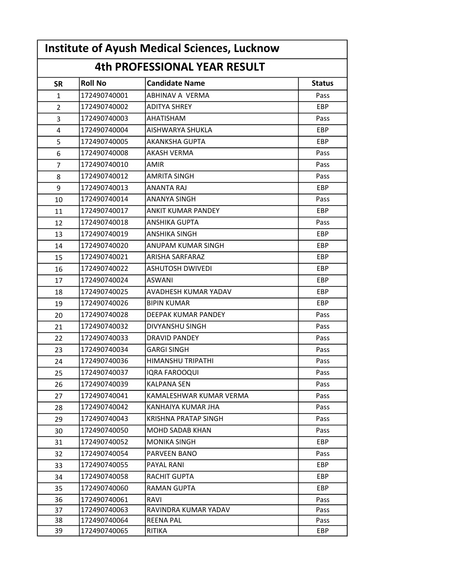| <b>Institute of Ayush Medical Sciences, Lucknow</b><br><b>4th PROFESSIONAL YEAR RESULT</b> |              |                           |            |  |  |
|--------------------------------------------------------------------------------------------|--------------|---------------------------|------------|--|--|
|                                                                                            |              |                           |            |  |  |
| $\mathbf{1}$                                                                               | 172490740001 | ABHINAV A VERMA           | Pass       |  |  |
| $\overline{2}$                                                                             | 172490740002 | <b>ADITYA SHREY</b>       | EBP        |  |  |
| 3                                                                                          | 172490740003 | <b>AHATISHAM</b>          | Pass       |  |  |
| 4                                                                                          | 172490740004 | AISHWARYA SHUKLA          | <b>EBP</b> |  |  |
| 5                                                                                          | 172490740005 | <b>AKANKSHA GUPTA</b>     | <b>EBP</b> |  |  |
| 6                                                                                          | 172490740008 | <b>AKASH VERMA</b>        | Pass       |  |  |
| $\overline{7}$                                                                             | 172490740010 | AMIR                      | Pass       |  |  |
| 8                                                                                          | 172490740012 | <b>AMRITA SINGH</b>       | Pass       |  |  |
| 9                                                                                          | 172490740013 | <b>ANANTA RAJ</b>         | <b>EBP</b> |  |  |
| 10                                                                                         | 172490740014 | <b>ANANYA SINGH</b>       | Pass       |  |  |
| 11                                                                                         | 172490740017 | <b>ANKIT KUMAR PANDEY</b> | <b>EBP</b> |  |  |
| 12                                                                                         | 172490740018 | ANSHIKA GUPTA             | Pass       |  |  |
| 13                                                                                         | 172490740019 | ANSHIKA SINGH             | <b>EBP</b> |  |  |
| 14                                                                                         | 172490740020 | <b>ANUPAM KUMAR SINGH</b> | EBP        |  |  |
| 15                                                                                         | 172490740021 | ARISHA SARFARAZ           | EBP        |  |  |
| 16                                                                                         | 172490740022 | <b>ASHUTOSH DWIVEDI</b>   | EBP        |  |  |
| 17                                                                                         | 172490740024 | ASWANI                    | <b>EBP</b> |  |  |
| 18                                                                                         | 172490740025 | AVADHESH KUMAR YADAV      | <b>EBP</b> |  |  |
| 19                                                                                         | 172490740026 | <b>BIPIN KUMAR</b>        | <b>EBP</b> |  |  |
| 20                                                                                         | 172490740028 | DEEPAK KUMAR PANDEY       | Pass       |  |  |
| 21                                                                                         | 172490740032 | DIVYANSHU SINGH           | Pass       |  |  |
| 22                                                                                         | 172490740033 | <b>DRAVID PANDEY</b>      | Pass       |  |  |
| 23                                                                                         | 172490740034 | <b>GARGI SINGH</b>        | Pass       |  |  |
| 24                                                                                         | 172490740036 | HIMANSHU TRIPATHI         | Pass       |  |  |
| 25                                                                                         | 172490740037 | IQRA FAROOQUI             | Pass       |  |  |
| 26                                                                                         | 172490740039 | KALPANA SEN               | Pass       |  |  |
| 27                                                                                         | 172490740041 | KAMALESHWAR KUMAR VERMA   | Pass       |  |  |
| 28                                                                                         | 172490740042 | KANHAIYA KUMAR JHA        | Pass       |  |  |
| 29                                                                                         | 172490740043 | KRISHNA PRATAP SINGH      | Pass       |  |  |
| 30                                                                                         | 172490740050 | <b>MOHD SADAB KHAN</b>    | Pass       |  |  |
| 31                                                                                         | 172490740052 | <b>MONIKA SINGH</b>       | EBP        |  |  |
| 32                                                                                         | 172490740054 | PARVEEN BANO              | Pass       |  |  |
| 33                                                                                         | 172490740055 | PAYAL RANI                | EBP        |  |  |
| 34                                                                                         | 172490740058 | RACHIT GUPTA              | EBP        |  |  |
| 35                                                                                         | 172490740060 | <b>RAMAN GUPTA</b>        | <b>EBP</b> |  |  |
| 36                                                                                         | 172490740061 | RAVI                      | Pass       |  |  |
| 37                                                                                         | 172490740063 | RAVINDRA KUMAR YADAV      | Pass       |  |  |
| 38                                                                                         | 172490740064 | <b>REENA PAL</b>          | Pass       |  |  |
| 39                                                                                         | 172490740065 | RITIKA                    | EBP        |  |  |